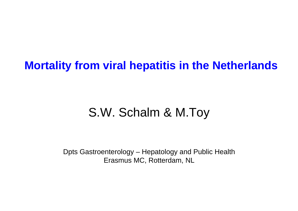## **Mortality from viral hepatitis in the Netherlands**

# S.W. Schalm & M.Toy

Dpts Gastroenterology – Hepatology and Public Health Erasmus MC, Rotterdam, NL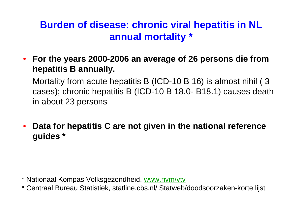## **Burden of disease: chronic viral hepatitis in NL annual mortality \***

• **For the years 2000-2006 an average of 26 persons die from hepatitis B annually.** 

Mortality from acute hepatitis B (ICD-10 B 16) is almost nihil ( 3 cases); chronic hepatitis B (ICD-10 B 18.0- B18.1) causes death in about 23 persons

• **Data for hepatitis C are not given in the national reference guides \***

\* Nationaal Kompas Volksgezondheid, [www.rivm/vtv](http://www.rivm/vtv)

\* Centraal Bureau Statistiek, statline.cbs.nl/ Statweb/doodsoorzaken-korte lijst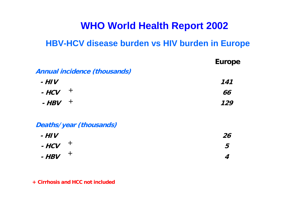#### **WHO World Health Report 2002**

#### **HBV-HCV disease burden vs HIV burden in Europe**

|                                     | <b>Europe</b> |
|-------------------------------------|---------------|
| <b>Annual incidence (thousands)</b> |               |
| $-HIV$                              | 141           |
| $\pm$<br>- HCV                      | 66            |
| $\pm$<br>- HBV                      | 129           |
| Deaths/year (thousands)             |               |
| $-HIV$                              | 26            |
| $\pm$<br>$-HCV$                     | 5             |
| $+$<br>$-HBV$                       | 4             |

#### **+ Cirrhosis and HCC not included**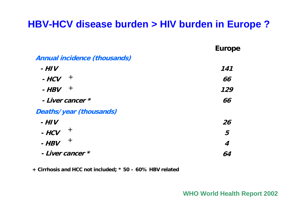#### **HBV-HCV disease burden > HIV burden in Europe ?**

|                              | <b>Europe</b> |
|------------------------------|---------------|
| Annual incidence (thousands) |               |
| $-HIV$                       | 141           |
| $\pm$<br>- HCV               | 66            |
| $\pm$<br>$-HBV$              | 129           |
| - Liver cancer *             | 66            |
| Deaths/year (thousands)      |               |
| $-HIV$                       | 26            |
| $\pm$<br>$-HCV$              | 5             |
| $\pm$<br>$-HBV$              | 4             |
| - Liver cancer *             | 64            |

**+ Cirrhosis and HCC not included; \* 50 – 60% HBV related**

#### **WHO World Health Report 2002**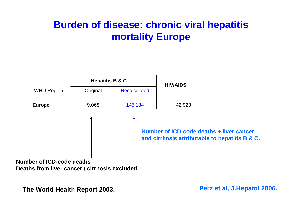## **Burden of disease: chronic viral hepatitis mortality Europe**

|                   | <b>Hepatitis B &amp; C</b> |                     | <b>HIV/AIDS</b> |
|-------------------|----------------------------|---------------------|-----------------|
| <b>WHO Region</b> | Original                   | <b>Recalculated</b> |                 |
| <b>Europe</b>     | 9,068                      | 145,184             | 42,923          |

**Number of ICD-code deaths + liver cancer and cirrhosis attributable to hepatitis B & C.** 

**Number of ICD-code deathsDeaths from liver cancer / cirrhosis excluded** 

**The World Health Report 2003.** 

**Perz et al, J.Hepatol 2006.**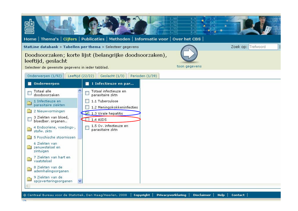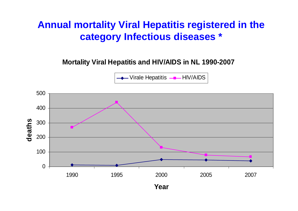#### **Annual mortality Viral Hepatitis registered in the category Infectious diseases \***

**Mortality Viral Hepatitis and HIV/AIDS in NL 1990-2007**

 $-V$ irale Hepatitis  $\leftarrow$  HIV/AIDS

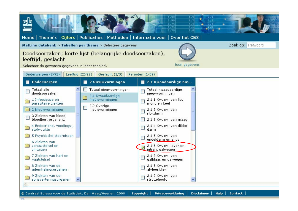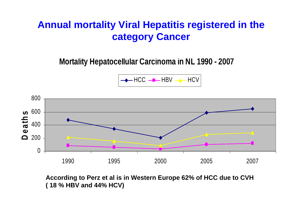### **Annual mortality Viral Hepatitis registered in the category Cancer**

**Mor t ality Hepa tocell ular Carcinoma in NL 1990 - 2007**

HCCHBV HCV



**According to Perz et al is in Western Europe 62% of HCC due to CVH ( 18 % HBV and 44% HCV)**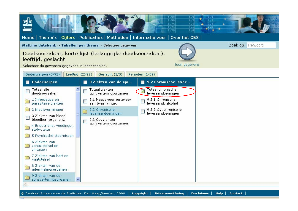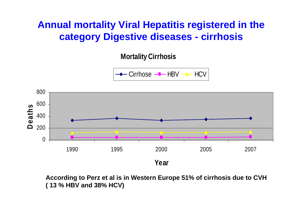### **Annual mortality Viral Hepatitis registered in the category Digestive diseases - cirrhosis**

**Mortality Cirrhosis**

Cirrhose <del>–■</del>– HBV <del>–▲–</del> HCV



**According to Perz et al is in Western Europe 51% of cirrhosis due to CVH ( 13 % HBV and 38% HCV)**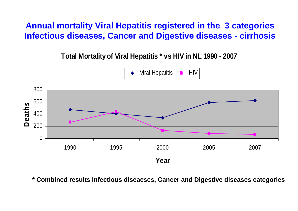**Annual mortality Viral Hepatitis registered in the 3 categories Infectious diseases, Cancer and Digestive diseases - cirrhosis**

**Total Mortality of Viral Hepatitis \* vs HIV in NL 1990 - 2007**





**\* Combined results Infectious diseaeses, Cancer and Digestive diseases categories**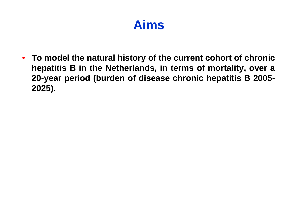# **Aims**

• **To model the natural history of the current cohort of chronic hepatitis B in the Netherlands, in terms of mortality, over a 20-year period (burden of disease chronic hepatitis B 2005- 2025).**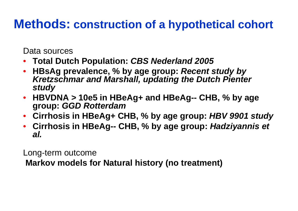## **Methods: construction of a hypothetical cohort**

Data sources

- **Total Dutch Population:** *CBS Nederland 2005*
- **HBsAg prevalence, % by age group:** *Recent study by Kretzschmar and Marshall, updating the Dutch Pienter study*
- **HBVDNA > 10e5 in HBeAg+ and HBeAg-- CHB, % by age group:** *GGD Rotterdam*
- **Cirrhosis in HBeAg+ CHB, % by age group:** *HBV 9901 study*
- **Cirrhosis in HBeAg-- CHB, % by age group:** *Hadziyannis et al.*

Long-term outcome

**Markov models for Natural history (no treatment)**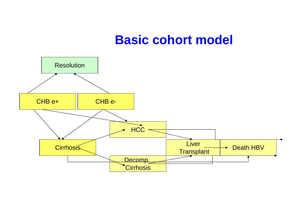## **Basic cohort model**

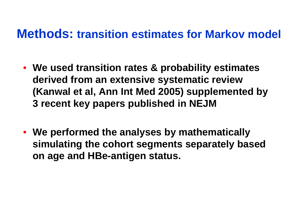## **Methods: transition estimates for Markov model**

- **We used transition rates & probability estimates derived from an extensive systematic review (Kanwal et al, Ann Int Med 2005) supplemented by 3 recent key papers published in NEJM**
- **We performed the analyses by mathematically simulating the cohort segments separately based on age and HBe-antigen status.**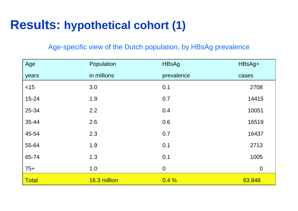## **Results: hypothetical cohort (1)**

#### Age-specific view of the Dutch population, by HBsAg prevalence

| Age       | Population   | <b>HBsAg</b>     | HBsAg+   |
|-----------|--------------|------------------|----------|
| years     | in millions  | prevalence       | cases    |
| $<$ 15    | 3.0          | 0.1              | 2708     |
| $15 - 24$ | 1.9          | 0.7              | 14415    |
| 25-34     | 2.2          | 0.4              | 10051    |
| 35-44     | 2.6          | 0.6              | 16519    |
| 45-54     | 2.3          | 0.7              | 16437    |
| 55-64     | 1.9          | 0.1              | 2713     |
| 65-74     | 1.3          | 0.1              | 1005     |
| $75+$     | 1.0          | $\boldsymbol{0}$ | $\theta$ |
| Total     | 16.3 million | 0.4%             | 63.848   |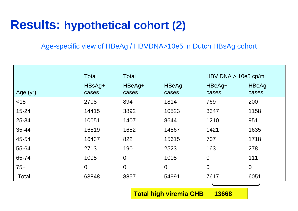# **Results: hypothetical cohort (2)**

Age-specific view of HBeAg / HBVDNA>10e5 in Dutch HBsAg cohort

|              | <b>Total</b>      | <b>Total</b>    |                 | $HBV$ DNA $> 10e5$ cp/ml |                 |
|--------------|-------------------|-----------------|-----------------|--------------------------|-----------------|
| Age (yr)     | $HBSAg+$<br>cases | HBeAg+<br>cases | HBeAg-<br>cases | HBeAg+<br>cases          | HBeAg-<br>cases |
| $<$ 15       | 2708              | 894             | 1814            | 769                      | 200             |
| $15 - 24$    | 14415             | 3892            | 10523           | 3347                     | 1158            |
| 25-34        | 10051             | 1407            | 8644            | 1210                     | 951             |
| 35-44        | 16519             | 1652            | 14867           | 1421                     | 1635            |
| 45-54        | 16437             | 822             | 15615           | 707                      | 1718            |
| 55-64        | 2713              | 190             | 2523            | 163                      | 278             |
| 65-74        | 1005              | $\theta$        | 1005            | $\overline{0}$           | 111             |
| $75+$        | $\overline{0}$    | $\theta$        | $\overline{0}$  | $\overline{0}$           | $\overline{0}$  |
| <b>Total</b> | 63848             | 8857            | 54991           | 7617                     | 6051            |
|              |                   |                 |                 | ╰                        |                 |

**Total high viremia CHB 13668**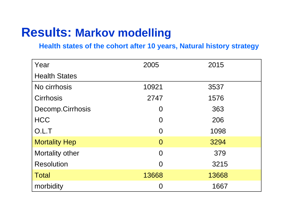## **Results: Markov modelling**

#### **Health states of the cohort after 10 years, Natural history strategy**

| Year                 | 2005           | 2015  |
|----------------------|----------------|-------|
| <b>Health States</b> |                |       |
| No cirrhosis         | 10921          | 3537  |
| <b>Cirrhosis</b>     | 2747           | 1576  |
| Decomp.Cirrhosis     | O              | 363   |
| <b>HCC</b>           | O              | 206   |
| O.L.T                | O              | 1098  |
| <b>Mortality Hep</b> | $\overline{0}$ | 3294  |
| Mortality other      | $\Omega$       | 379   |
| <b>Resolution</b>    | $\Omega$       | 3215  |
| <b>Total</b>         | 13668          | 13668 |
| morbidity            | 0              | 1667  |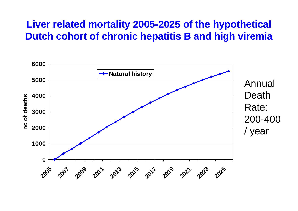#### **Liver related mortality 2005-2025 of the hypothetical Dutch cohort of chronic hepatitis B and high viremia**